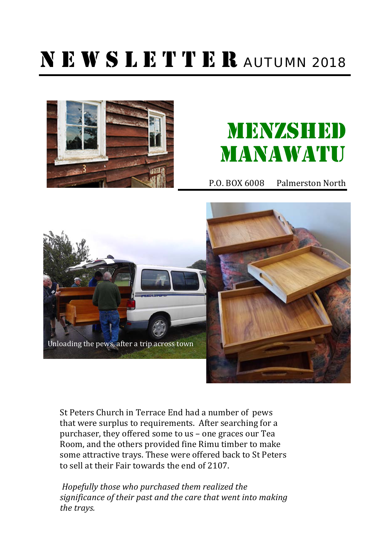# NEWSLETTER AUTUMN 2018



# **MENZSHEDD** MANAWATU

P.O. BOX 6008 Palmerston North



St Peters Church in Terrace End had a number of pews that were surplus to requirements. After searching for a purchaser, they offered some to us  $-$  one graces our Tea Room, and the others provided fine Rimu timber to make some attractive trays. These were offered back to St Peters to sell at their Fair towards the end of 2107.

*Hopefully those who purchased them realized the* significance of their past and the care that went into making *the trays.*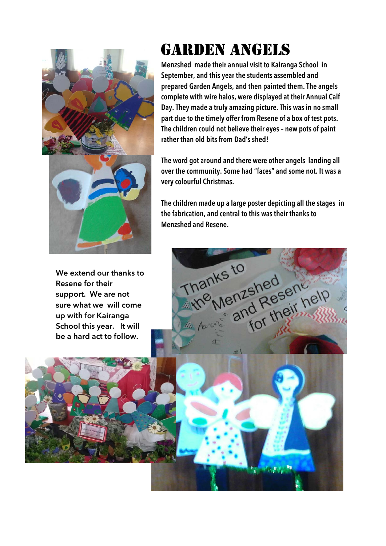

**We extend our thanks to Resene for their support. We are not sure what we will come up with for Kairanga School this year. It will be a hard act to follow.**

## GARDEN ANGELS

**Menzshed made their annual visit to Kairanga School in September, and this year the students assembled and prepared Garden Angels, and then painted them. The angels complete with wire halos, were displayed at their Annual Calf Day. They made a truly amazing picture. This was in no small part due to the timely offer from Resene of a box of test pots. The children could not believe their eyes – new pots of paint rather than old bits from Dad's shed!** 

**The word got around and there were other angels landing all over the community. Some had "faces" and some not. It was a very colourful Christmas.**

**The children made up a large poster depicting all the stages in the fabrication, and central to this was their thanks to Menzshed and Resene.**



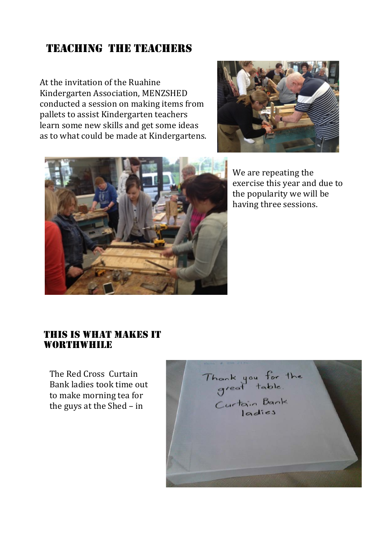### TEACHING THE TEACHERS

At the invitation of the Ruahine Kindergarten Association, MENZSHED conducted a session on making items from pallets to assist Kindergarten teachers learn some new skills and get some ideas as to what could be made at Kindergartens.





We are repeating the exercise this year and due to the popularity we will be having three sessions.

#### THIS IS WHAT MAKES IT **WORTHWHILE**

The Red Cross Curtain Bank ladies took time out to make morning tea for the guys at the Shed  $-$  in

Thank you for the<br>great table.<br>Curtain Bank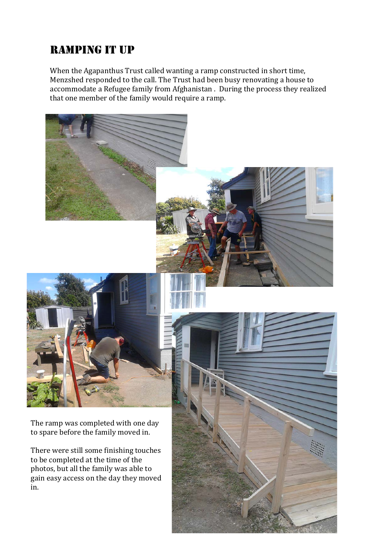## RAMPING IT UP

When the Agapanthus Trust called wanting a ramp constructed in short time, Menzshed responded to the call. The Trust had been busy renovating a house to accommodate a Refugee family from Afghanistan . During the process they realized that one member of the family would require a ramp.



The ramp was completed with one day to spare before the family moved in.

There were still some finishing touches to be completed at the time of the photos, but all the family was able to gain easy access on the day they moved in. 

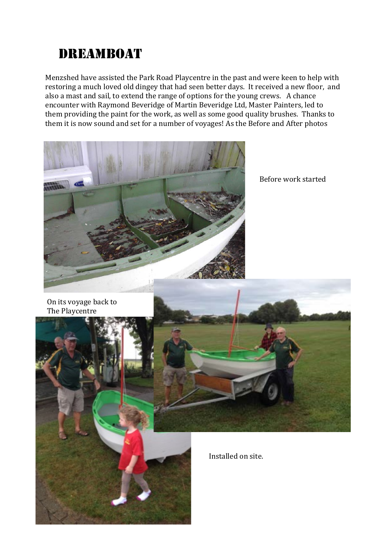## DREAMBOAT

Menzshed have assisted the Park Road Playcentre in the past and were keen to help with restoring a much loved old dingey that had seen better days. It received a new floor, and also a mast and sail, to extend the range of options for the young crews. A chance encounter with Raymond Beveridge of Martin Beveridge Ltd, Master Painters, led to them providing the paint for the work, as well as some good quality brushes. Thanks to them it is now sound and set for a number of voyages! As the Before and After photos



Before work started

On its voyage back to The Playcentre



Installed on site.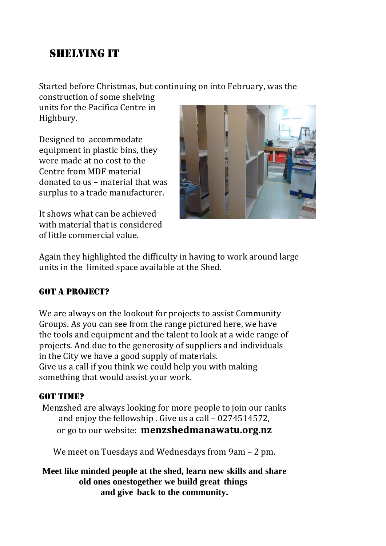## SHELVING IT

Started before Christmas, but continuing on into February, was the

construction of some shelving units for the Pacifica Centre in Highbury.

Designed to accommodate equipment in plastic bins, they were made at no cost to the Centre from MDF material donated to us – material that was surplus to a trade manufacturer.

It shows what can be achieved with material that is considered of little commercial value.



Again they highlighted the difficulty in having to work around large units in the limited space available at the Shed.

### GOT A PROJECT?

We are always on the lookout for projects to assist Community Groups. As you can see from the range pictured here, we have the tools and equipment and the talent to look at a wide range of projects. And due to the generosity of suppliers and individuals in the City we have a good supply of materials. Give us a call if you think we could help you with making something that would assist your work.

### GOT TIME?

Menzshed are always looking for more people to join our ranks and enjoy the fellowship. Give us a call  $-0274514572$ , or go to our website: **menzshedmanawatu.org.nz** 

We meet on Tuesdays and Wednesdays from  $9am - 2 pm$ .

**Meet like minded people at the shed, learn new skills and share old ones onestogether we build great things and give back to the community.**